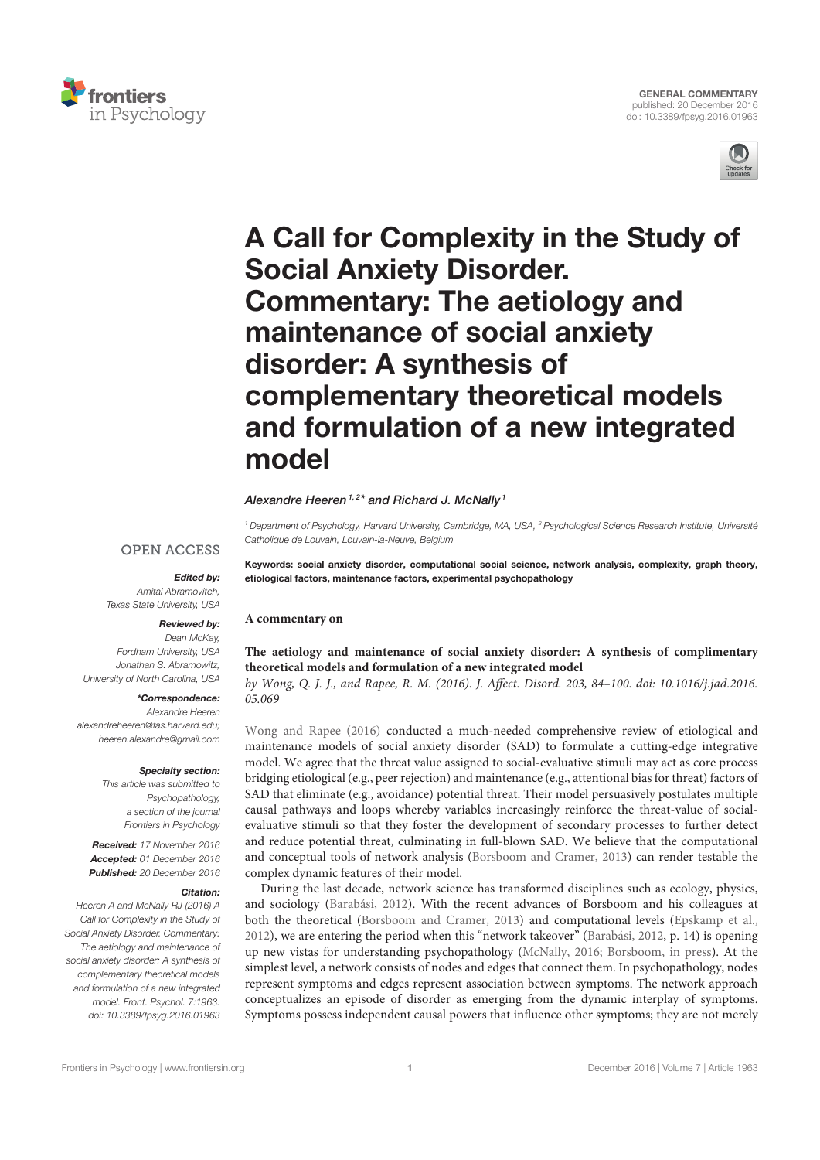



# A Call for Complexity in the Study of Social Anxiety Disorder. Commentary: The aetiology and maintenance of social anxiety disorder: A synthesis of complementary theoretical models and formulation of a new integrated model

### Alexandre Heeren<sup>1,2\*</sup> and Richard J. McNally<sup>1</sup>

<sup>1</sup> Department of Psychology, Harvard University, Cambridge, MA, USA, <sup>2</sup> Psychological Science Research Institute, Université Catholique de Louvain, Louvain-la-Neuve, Belgium

# **OPEN ACCESS**

Texas State University, USA

Edited by: Amitai Abramovitch,

## Reviewed by:

Dean McKay, Fordham University, USA Jonathan S. Abramowitz, University of North Carolina, USA

## \*Correspondence:

Alexandre Heeren alexandreheeren@fas.harvard.edu; heeren.alexandre@gmail.com

#### Specialty section:

This article was submitted to Psychopathology, a section of the journal Frontiers in Psychology

Received: 17 November 2016 Accepted: 01 December 2016 Published: 20 December 2016

#### Citation:

Heeren A and McNally RJ (2016) A Call for Complexity in the Study of Social Anxiety Disorder. Commentary: The aetiology and maintenance of social anxiety disorder: A synthesis of complementary theoretical models and formulation of a new integrated model. Front. Psychol. 7:1963. doi: 10.3389/fpsyg.2016.01963

Keywords: social anxiety disorder, computational social science, network analysis, complexity, graph theory, etiological factors, maintenance factors, experimental psychopathology

## **A commentary on**

## **The aetiology and maintenance of social anxiety disorder: A synthesis of complimentary theoretical models and formulation of a new integrated model**

by Wong, Q. J. J., and Rapee, R. M. (2016). J. Affect. Disord. 203, 84–100. doi: 10.1016/j.jad.2016. 05.069

Wong and Rapee (2016) conducted a much-needed comprehensive review of etiological and maintenance models of social anxiety disorder (SAD) to formulate a cutting-edge integrative model. We agree that the threat value assigned to social-evaluative stimuli may act as core process bridging etiological (e.g., peer rejection) and maintenance (e.g., attentional bias for threat) factors of SAD that eliminate (e.g., avoidance) potential threat. Their model persuasively postulates multiple causal pathways and loops whereby variables increasingly reinforce the threat-value of socialevaluative stimuli so that they foster the development of secondary processes to further detect and reduce potential threat, culminating in full-blown SAD. We believe that the computational and conceptual tools of network analysis (Borsboom and Cramer, 2013) can render testable the complex dynamic features of their model.

During the last decade, network science has transformed disciplines such as ecology, physics, and sociology (Barabási, 2012). With the recent advances of Borsboom and his colleagues at both the theoretical (Borsboom and Cramer, 2013) and computational levels (Epskamp et al., 2012), we are entering the period when this "network takeover" (Barabási, 2012, p. 14) is opening up new vistas for understanding psychopathology (McNally, 2016; Borsboom, in press). At the simplest level, a network consists of nodes and edges that connect them. In psychopathology, nodes represent symptoms and edges represent association between symptoms. The network approach conceptualizes an episode of disorder as emerging from the dynamic interplay of symptoms. Symptoms possess independent causal powers that influence other symptoms; they are not merely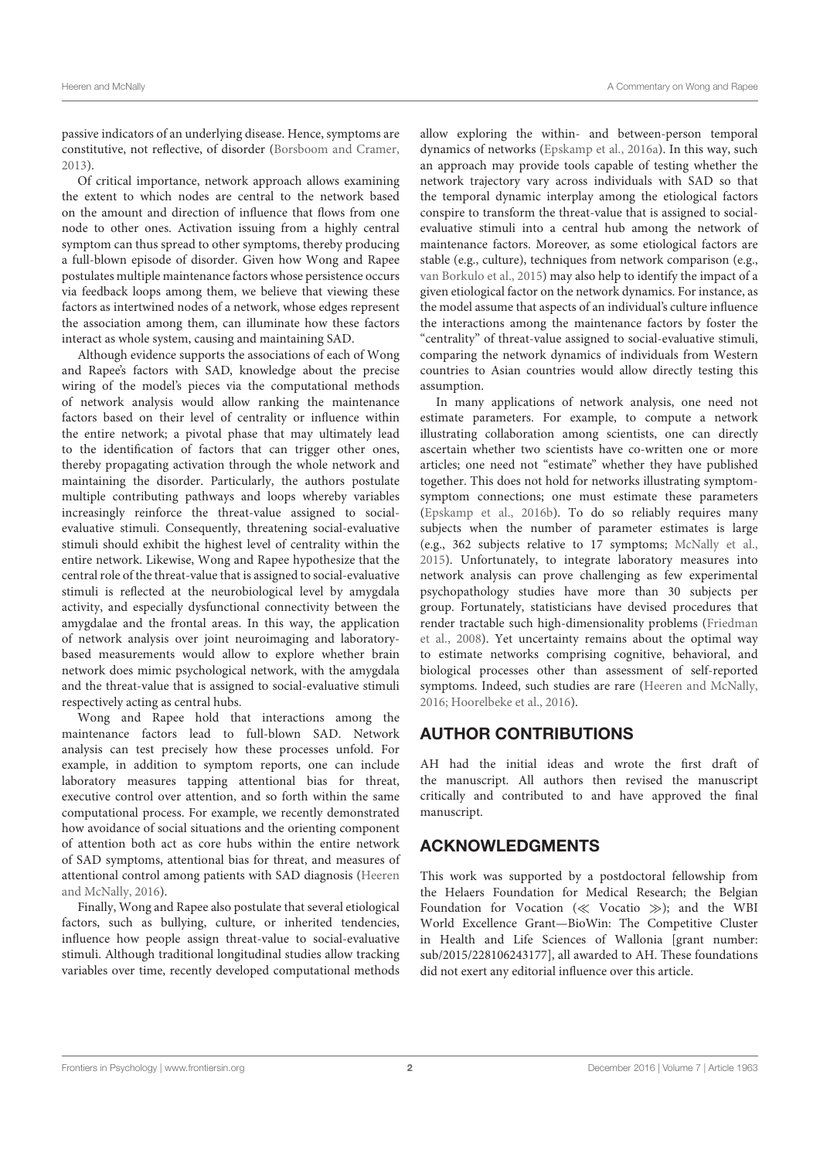passive indicators of an underlying disease. Hence, symptoms are constitutive, not reflective, of disorder (Borsboom and Cramer, 2013).

Of critical importance, network approach allows examining the extent to which nodes are central to the network based on the amount and direction of influence that flows from one node to other ones. Activation issuing from a highly central symptom can thus spread to other symptoms, thereby producing a full-blown episode of disorder. Given how Wong and Rapee postulates multiple maintenance factors whose persistence occurs via feedback loops among them, we believe that viewing these factors as intertwined nodes of a network, whose edges represent the association among them, can illuminate how these factors interact as whole system, causing and maintaining SAD.

Although evidence supports the associations of each of Wong and Rapee's factors with SAD, knowledge about the precise wiring of the model's pieces via the computational methods of network analysis would allow ranking the maintenance factors based on their level of centrality or influence within the entire network; a pivotal phase that may ultimately lead to the identification of factors that can trigger other ones, thereby propagating activation through the whole network and maintaining the disorder. Particularly, the authors postulate multiple contributing pathways and loops whereby variables increasingly reinforce the threat-value assigned to socialevaluative stimuli. Consequently, threatening social-evaluative stimuli should exhibit the highest level of centrality within the entire network. Likewise, Wong and Rapee hypothesize that the central role of the threat-value that is assigned to social-evaluative stimuli is reflected at the neurobiological level by amygdala activity, and especially dysfunctional connectivity between the amygdalae and the frontal areas. In this way, the application of network analysis over joint neuroimaging and laboratorybased measurements would allow to explore whether brain network does mimic psychological network, with the amygdala and the threat-value that is assigned to social-evaluative stimuli respectively acting as central hubs.

Wong and Rapee hold that interactions among the maintenance factors lead to full-blown SAD. Network analysis can test precisely how these processes unfold. For example, in addition to symptom reports, one can include laboratory measures tapping attentional bias for threat, executive control over attention, and so forth within the same computational process. For example, we recently demonstrated how avoidance of social situations and the orienting component of attention both act as core hubs within the entire network of SAD symptoms, attentional bias for threat, and measures of attentional control among patients with SAD diagnosis (Heeren and McNally, 2016).

Finally, Wong and Rapee also postulate that several etiological factors, such as bullying, culture, or inherited tendencies, influence how people assign threat-value to social-evaluative stimuli. Although traditional longitudinal studies allow tracking variables over time, recently developed computational methods allow exploring the within- and between-person temporal dynamics of networks (Epskamp et al., 2016a). In this way, such an approach may provide tools capable of testing whether the network trajectory vary across individuals with SAD so that the temporal dynamic interplay among the etiological factors conspire to transform the threat-value that is assigned to socialevaluative stimuli into a central hub among the network of maintenance factors. Moreover, as some etiological factors are stable (e.g., culture), techniques from network comparison (e.g., van Borkulo et al., 2015) may also help to identify the impact of a given etiological factor on the network dynamics. For instance, as the model assume that aspects of an individual's culture influence the interactions among the maintenance factors by foster the "centrality" of threat-value assigned to social-evaluative stimuli, comparing the network dynamics of individuals from Western countries to Asian countries would allow directly testing this assumption.

In many applications of network analysis, one need not estimate parameters. For example, to compute a network illustrating collaboration among scientists, one can directly ascertain whether two scientists have co-written one or more articles; one need not "estimate" whether they have published together. This does not hold for networks illustrating symptomsymptom connections; one must estimate these parameters (Epskamp et al., 2016b). To do so reliably requires many subjects when the number of parameter estimates is large (e.g., 362 subjects relative to 17 symptoms; McNally et al., 2015). Unfortunately, to integrate laboratory measures into network analysis can prove challenging as few experimental psychopathology studies have more than 30 subjects per group. Fortunately, statisticians have devised procedures that render tractable such high-dimensionality problems (Friedman et al., 2008). Yet uncertainty remains about the optimal way to estimate networks comprising cognitive, behavioral, and biological processes other than assessment of self-reported symptoms. Indeed, such studies are rare (Heeren and McNally, 2016; Hoorelbeke et al., 2016).

# AUTHOR CONTRIBUTIONS

AH had the initial ideas and wrote the first draft of the manuscript. All authors then revised the manuscript critically and contributed to and have approved the final manuscript.

# ACKNOWLEDGMENTS

This work was supported by a postdoctoral fellowship from the Helaers Foundation for Medical Research; the Belgian Foundation for Vocation ( $\ll$  Vocatio  $\gg$ ); and the WBI World Excellence Grant—BioWin: The Competitive Cluster in Health and Life Sciences of Wallonia [grant number: sub/2015/228106243177], all awarded to AH. These foundations did not exert any editorial influence over this article.